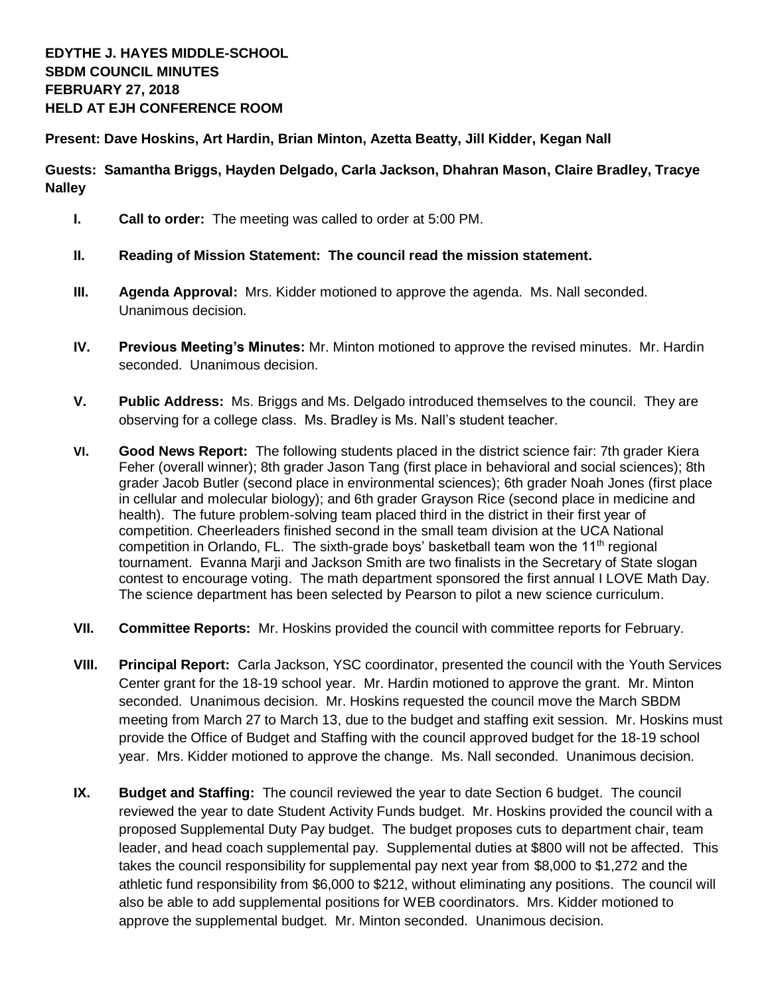**Present: Dave Hoskins, Art Hardin, Brian Minton, Azetta Beatty, Jill Kidder, Kegan Nall**

**Guests: Samantha Briggs, Hayden Delgado, Carla Jackson, Dhahran Mason, Claire Bradley, Tracye Nalley**

- **I. Call to order:** The meeting was called to order at 5:00 PM.
- **II. Reading of Mission Statement: The council read the mission statement.**
- **III. Agenda Approval:** Mrs. Kidder motioned to approve the agenda. Ms. Nall seconded. Unanimous decision.
- **IV. Previous Meeting's Minutes:** Mr. Minton motioned to approve the revised minutes. Mr. Hardin seconded. Unanimous decision.
- **V. Public Address:** Ms. Briggs and Ms. Delgado introduced themselves to the council. They are observing for a college class. Ms. Bradley is Ms. Nall's student teacher.
- **VI. Good News Report:** The following students placed in the district science fair: 7th grader Kiera Feher (overall winner); 8th grader Jason Tang (first place in behavioral and social sciences); 8th grader Jacob Butler (second place in environmental sciences); 6th grader Noah Jones (first place in cellular and molecular biology); and 6th grader Grayson Rice (second place in medicine and health). The future problem-solving team placed third in the district in their first year of competition. Cheerleaders finished second in the small team division at the UCA National competition in Orlando, FL. The sixth-grade boys' basketball team won the  $11<sup>th</sup>$  regional tournament. Evanna Marji and Jackson Smith are two finalists in the Secretary of State slogan contest to encourage voting. The math department sponsored the first annual I LOVE Math Day. The science department has been selected by Pearson to pilot a new science curriculum.
- **VII. Committee Reports:** Mr. Hoskins provided the council with committee reports for February.
- **VIII. Principal Report:** Carla Jackson, YSC coordinator, presented the council with the Youth Services Center grant for the 18-19 school year. Mr. Hardin motioned to approve the grant. Mr. Minton seconded. Unanimous decision. Mr. Hoskins requested the council move the March SBDM meeting from March 27 to March 13, due to the budget and staffing exit session. Mr. Hoskins must provide the Office of Budget and Staffing with the council approved budget for the 18-19 school year. Mrs. Kidder motioned to approve the change. Ms. Nall seconded. Unanimous decision.
- **IX. Budget and Staffing:** The council reviewed the year to date Section 6 budget. The council reviewed the year to date Student Activity Funds budget. Mr. Hoskins provided the council with a proposed Supplemental Duty Pay budget. The budget proposes cuts to department chair, team leader, and head coach supplemental pay. Supplemental duties at \$800 will not be affected. This takes the council responsibility for supplemental pay next year from \$8,000 to \$1,272 and the athletic fund responsibility from \$6,000 to \$212, without eliminating any positions. The council will also be able to add supplemental positions for WEB coordinators. Mrs. Kidder motioned to approve the supplemental budget. Mr. Minton seconded. Unanimous decision.